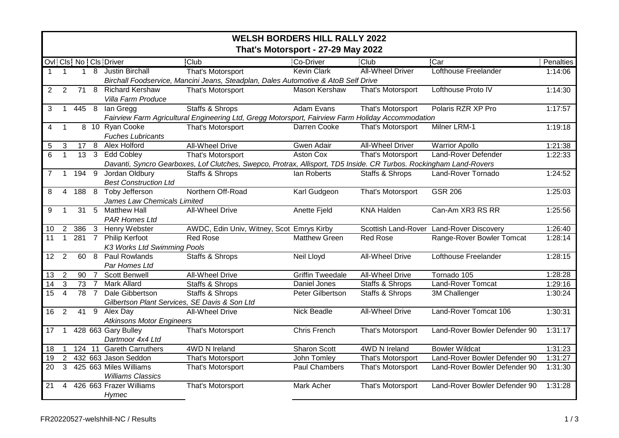|                 | <b>WELSH BORDERS HILL RALLY 2022</b> |                 |                |                                               |                                                                                                                    |                         |                         |                               |           |  |
|-----------------|--------------------------------------|-----------------|----------------|-----------------------------------------------|--------------------------------------------------------------------------------------------------------------------|-------------------------|-------------------------|-------------------------------|-----------|--|
|                 | That's Motorsport - 27-29 May 2022   |                 |                |                                               |                                                                                                                    |                         |                         |                               |           |  |
|                 |                                      |                 |                | Ovl! Cls! No! Cls! Driver                     | <b>Club</b>                                                                                                        | <b>Co-Driver</b>        | <b>Club</b>             | <b>Car</b>                    | Penalties |  |
| $\mathbf 1$     | $\overline{1}$                       | $\mathbf{1}$    |                | 8 Justin Birchall                             | That's Motorsport                                                                                                  | <b>Kevin Clark</b>      | <b>All-Wheel Driver</b> | <b>Lofthouse Freelander</b>   | 1:14:06   |  |
|                 |                                      |                 |                |                                               | Birchall Foodservice, Mancini Jeans, Steadplan, Dales Automotive & AtoB Self Drive                                 |                         |                         |                               |           |  |
| 2               | $\overline{2}$                       | 71              |                | 8 Richard Kershaw                             | That's Motorsport                                                                                                  | Mason Kershaw           | That's Motorsport       | Lofthouse Proto IV            | 1:14:30   |  |
|                 |                                      |                 |                | Villa Farm Produce                            |                                                                                                                    |                         |                         |                               |           |  |
| 3               | $\mathbf{1}$                         | 445 8           |                | lan Gregg                                     | <b>Staffs &amp; Shrops</b>                                                                                         | Adam Evans              | That's Motorsport       | Polaris RZR XP Pro            | 1:17:57   |  |
|                 |                                      |                 |                |                                               | Fairview Farm Agricultural Engineering Ltd, Gregg Motorsport, Fairview Farm Holiday Accommodation                  |                         |                         |                               |           |  |
| 4               | $\mathbf 1$                          |                 |                | 8 10 Ryan Cooke                               | That's Motorsport                                                                                                  | Darren Cooke            | That's Motorsport       | Milner LRM-1                  | 1:19:18   |  |
|                 |                                      |                 |                | <b>Fuches Lubricants</b>                      |                                                                                                                    |                         |                         |                               |           |  |
| 5               | 3                                    | $17 \quad 8$    |                | Alex Holford                                  | <b>All-Wheel Drive</b>                                                                                             | Gwen Adair              | <b>All-Wheel Driver</b> | <b>Warrior Apollo</b>         | 1:21:38   |  |
| 6               | $\overline{1}$                       | 13              | $\mathbf{3}$   | <b>Edd Cobley</b>                             | That's Motorsport                                                                                                  | <b>Aston Cox</b>        | That's Motorsport       | Land-Rover Defender           | 1:22:33   |  |
|                 |                                      |                 |                |                                               | Davanti, Syncro Gearboxes, Lof Clutches, Swepco, Protrax, Allisport, TD5 Inside. CR Turbos. Rockingham Land-Rovers |                         |                         |                               |           |  |
| $\overline{7}$  | $\mathbf 1$                          | 194             | $\overline{9}$ | Jordan Oldbury                                | Staffs & Shrops                                                                                                    | lan Roberts             | Staffs & Shrops         | Land-Rover Tornado            | 1:24:52   |  |
|                 |                                      |                 |                | <b>Best Construction Ltd</b>                  | Northern Off-Road                                                                                                  |                         |                         | <b>GSR 206</b>                |           |  |
| 8               | 4                                    | $188 \quad 8$   |                | Toby Jefferson<br>James Law Chemicals Limited |                                                                                                                    | Karl Gudgeon            | That's Motorsport       |                               | 1:25:03   |  |
| 9               | $\mathbf 1$                          | 31              | 5              | <b>Matthew Hall</b>                           | <b>All-Wheel Drive</b>                                                                                             | Anette Fjeld            | <b>KNA Halden</b>       | Can-Am XR3 RS RR              | 1:25:56   |  |
|                 |                                      |                 |                | <b>PAR Homes Ltd</b>                          |                                                                                                                    |                         |                         |                               |           |  |
| 10              | $\overline{2}$                       | 386             | $\mathbf{3}$   | Henry Webster                                 | AWDC, Edin Univ, Witney, Scot Emrys Kirby                                                                          |                         | Scottish Land-Rover     | <b>Land-Rover Discovery</b>   | 1:26:40   |  |
| 11              | $\overline{1}$                       | 281             | $\overline{7}$ | Philip Kerfoot                                | <b>Red Rose</b>                                                                                                    | <b>Matthew Green</b>    | <b>Red Rose</b>         | Range-Rover Bowler Tomcat     | 1:28:14   |  |
|                 |                                      |                 |                | K3 Works Ltd Swimming Pools                   |                                                                                                                    |                         |                         |                               |           |  |
| 12              | 2                                    | 60              |                | 8 Paul Rowlands                               | Staffs & Shrops                                                                                                    | <b>Neil Lloyd</b>       | <b>All-Wheel Drive</b>  | Lofthouse Freelander          | 1:28:15   |  |
|                 |                                      |                 |                | Par Homes Ltd                                 |                                                                                                                    |                         |                         |                               |           |  |
| 13              | $\overline{2}$                       | 90              | $\overline{7}$ | <b>Scott Benwell</b>                          | <b>All-Wheel Drive</b>                                                                                             | <b>Griffin Tweedale</b> | <b>All-Wheel Drive</b>  | Tornado 105                   | 1:28:28   |  |
| 14              | 3                                    | 73              | $\overline{7}$ | <b>Mark Allard</b>                            | Staffs & Shrops                                                                                                    | Daniel Jones            | Staffs & Shrops         | <b>Land-Rover Tomcat</b>      | 1:29:16   |  |
| $\overline{15}$ | $\overline{4}$                       | $\overline{78}$ | $\overline{7}$ | Dale Gibbertson                               | Staffs & Shrops                                                                                                    | Peter Gilbertson        | Staffs & Shrops         | 3M Challenger                 | 1:30:24   |  |
|                 |                                      |                 |                | Gilbertson Plant Services, SE Davis & Son Ltd |                                                                                                                    |                         |                         |                               |           |  |
| 16              | 2                                    | 41              | 9              | Alex Day                                      | <b>All-Wheel Drive</b>                                                                                             | <b>Nick Beadle</b>      | <b>All-Wheel Drive</b>  | Land-Rover Tomcat 106         | 1:30:31   |  |
|                 |                                      |                 |                | <b>Atkinsons Motor Engineers</b>              |                                                                                                                    |                         |                         |                               |           |  |
| 17              | $\mathbf 1$                          |                 |                | 428 663 Gary Bulley                           | That's Motorsport                                                                                                  | Chris French            | That's Motorsport       | Land-Rover Bowler Defender 90 | 1:31:17   |  |
|                 |                                      |                 |                | Dartmoor 4x4 Ltd                              |                                                                                                                    |                         |                         |                               |           |  |
| 18              |                                      |                 |                | 124 11 Gareth Carruthers                      | 4WD N Ireland                                                                                                      | <b>Sharon Scott</b>     | 4WD N Ireland           | <b>Bowler Wildcat</b>         | 1:31:23   |  |
| 19              | $\overline{2}$                       |                 |                | 432 663 Jason Seddon                          | That's Motorsport                                                                                                  | John Tomley             | That's Motorsport       | Land-Rover Bowler Defender 90 | 1:31:27   |  |
| 20              | 3                                    |                 |                | 425 663 Miles Williams                        | That's Motorsport                                                                                                  | Paul Chambers           | That's Motorsport       | Land-Rover Bowler Defender 90 | 1:31:30   |  |
|                 |                                      |                 |                | <b>Williams Classics</b>                      |                                                                                                                    |                         |                         |                               |           |  |
| 21              | 4                                    |                 |                | 426 663 Frazer Williams                       | That's Motorsport                                                                                                  | Mark Acher              | That's Motorsport       | Land-Rover Bowler Defender 90 | 1:31:28   |  |
|                 |                                      |                 |                | Hymec                                         |                                                                                                                    |                         |                         |                               |           |  |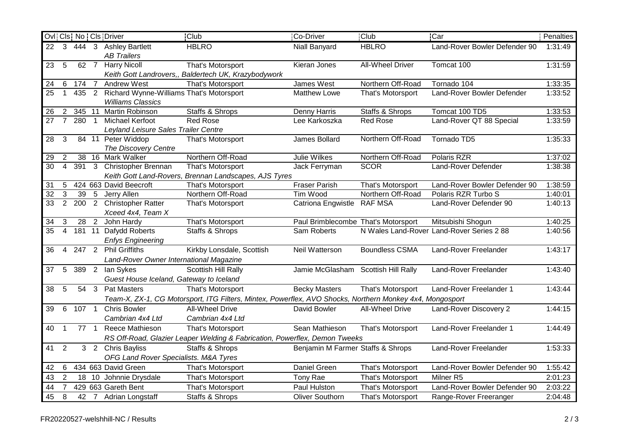|                 |                |                 |                 | Ovil Cls   No   Cls   Driver                                         | <b>Club</b>                                                                                              | Co-Driver                           | <b>Club</b>             | <b>Car</b>                                | Penalties |
|-----------------|----------------|-----------------|-----------------|----------------------------------------------------------------------|----------------------------------------------------------------------------------------------------------|-------------------------------------|-------------------------|-------------------------------------------|-----------|
| 22              | $\mathbf{3}$   |                 |                 | 444 3 Ashley Bartlett<br><b>AB Trailers</b>                          | <b>HBLRO</b>                                                                                             | Niall Banyard                       | <b>HBLRO</b>            | Land-Rover Bowler Defender 90             | 1:31:49   |
| 23              | 5              | 62 7            |                 | <b>Harry Nicoll</b>                                                  | That's Motorsport                                                                                        | Kieran Jones                        | <b>All-Wheel Driver</b> | Tomcat 100                                | 1:31:59   |
|                 |                |                 |                 |                                                                      | Keith Gott Landrovers,, Baldertech UK, Krazybodywork                                                     |                                     |                         |                                           |           |
| 24              | 6              | 174             | $\overline{7}$  | <b>Andrew West</b>                                                   | That's Motorsport                                                                                        | James West                          | Northern Off-Road       | Tornado 104                               | 1:33:35   |
| 25              | $\mathbf{1}$   | 435             | $\overline{2}$  | Richard Wynne-Williams That's Motorsport<br><b>Williams Classics</b> |                                                                                                          | Matthew Lowe                        | That's Motorsport       | Land-Rover Bowler Defender                | 1:33:52   |
| 26              | $\overline{2}$ |                 |                 | 345 11 Martin Robinson                                               | Staffs & Shrops                                                                                          | Denny Harris                        | Staffs & Shrops         | Tomcat 100 TD5                            | 1:33:53   |
| 27              | $\overline{7}$ | 280             | $\overline{1}$  | <b>Michael Kerfoot</b>                                               | <b>Red Rose</b>                                                                                          | Lee Karkoszka                       | <b>Red Rose</b>         | Land-Rover QT 88 Special                  | 1:33:59   |
|                 |                |                 |                 | Leyland Leisure Sales Trailer Centre                                 |                                                                                                          |                                     |                         |                                           |           |
| 28              | 3              |                 |                 | 84 11 Peter Widdop<br>The Discovery Centre                           | That's Motorsport                                                                                        | James Bollard                       | Northern Off-Road       | Tornado TD5                               | 1:35:33   |
| 29              | 2              |                 |                 | 38 16 Mark Walker                                                    | Northern Off-Road                                                                                        | Julie Wilkes                        | Northern Off-Road       | Polaris RZR                               | 1:37:02   |
| $\overline{30}$ | $\overline{4}$ | 391             |                 | 3 Christopher Brennan                                                | That's Motorsport                                                                                        | Jack Ferryman                       | <b>SCOR</b>             | Land-Rover Defender                       | 1:38:38   |
|                 |                |                 |                 |                                                                      | Keith Gott Land-Rovers, Brennan Landscapes, AJS Tyres                                                    |                                     |                         |                                           |           |
| 31              | 5              |                 |                 | 424 663 David Beecroft                                               | That's Motorsport                                                                                        | <b>Fraser Parish</b>                | That's Motorsport       | Land-Rover Bowler Defender 90             | 1:38:59   |
| $\overline{32}$ | 3              | $\overline{39}$ | $5\overline{)}$ | Jerry Allen                                                          | Northern Off-Road                                                                                        | Tim Wood                            | Northern Off-Road       | Polaris RZR Turbo S                       | 1:40:01   |
| 33              | $\overline{2}$ |                 |                 | 200 2 Christopher Ratter<br>Xceed 4x4, Team X                        | That's Motorsport                                                                                        | Catriona Engwistle                  | <b>RAF MSA</b>          | Land-Rover Defender 90                    | 1:40:13   |
| 34              | 3              | 28 <sup>2</sup> |                 | John Hardy                                                           | That's Motorsport                                                                                        | Paul Brimblecombe That's Motorsport |                         | Mitsubishi Shogun                         | 1:40:25   |
| 35              | $\overline{4}$ |                 |                 | 181 11 Dafydd Roberts                                                | Staffs & Shrops                                                                                          | Sam Roberts                         |                         | N Wales Land-Rover Land-Rover Series 2 88 | 1:40:56   |
|                 |                |                 |                 | <b>Enfys Engineering</b>                                             |                                                                                                          |                                     |                         |                                           |           |
| 36              | 4              | 247 2           |                 | <b>Phil Griffiths</b>                                                | Kirkby Lonsdale, Scottish                                                                                | Neil Watterson                      | <b>Boundless CSMA</b>   | Land-Rover Freelander                     | 1:43:17   |
|                 |                |                 |                 | Land-Rover Owner International Magazine                              |                                                                                                          |                                     |                         |                                           |           |
| 37              | 5              | 389 2           |                 | lan Sykes                                                            | Scottish Hill Rally                                                                                      | Jamie McGlasham                     | Scottish Hill Rally     | Land-Rover Freelander                     | 1:43:40   |
|                 |                |                 |                 | Guest House Iceland, Gateway to Iceland                              |                                                                                                          |                                     |                         |                                           |           |
| 38              | 5              |                 | 54 3            | <b>Pat Masters</b>                                                   | That's Motorsport                                                                                        | <b>Becky Masters</b>                | That's Motorsport       | Land-Rover Freelander 1                   | 1:43:44   |
|                 |                |                 |                 |                                                                      | Team-X, ZX-1, CG Motorsport, ITG Filters, Mintex, Powerflex, AVO Shocks, Northern Monkey 4x4, Mongosport |                                     |                         |                                           |           |
| 39              | 6              | 107 1           |                 | <b>Chris Bowler</b>                                                  | All-Wheel Drive                                                                                          | David Bowler                        | All-Wheel Drive         | Land-Rover Discovery 2                    | 1:44:15   |
|                 |                |                 |                 | Cambrian 4x4 Ltd                                                     | Cambrian 4x4 Ltd                                                                                         |                                     |                         |                                           |           |
| 40              | $\overline{1}$ |                 | $77 \quad 1$    | Reece Mathieson                                                      | That's Motorsport                                                                                        | Sean Mathieson                      | That's Motorsport       | Land-Rover Freelander 1                   | 1:44:49   |
|                 |                |                 |                 |                                                                      | RS Off-Road, Glazier Leaper Welding & Fabrication, Powerflex, Demon Tweeks                               |                                     |                         |                                           |           |
| 41              | 2              |                 |                 | 3 2 Chris Bayliss                                                    | Staffs & Shrops                                                                                          | Benjamin M Farmer Staffs & Shrops   |                         | Land-Rover Freelander                     | 1:53:33   |
|                 |                |                 |                 | OFG Land Rover Specialists. M&A Tyres                                |                                                                                                          |                                     |                         |                                           |           |
| 42              | 6              |                 |                 | 434 663 David Green                                                  | That's Motorsport                                                                                        | Daniel Green                        | That's Motorsport       | Land-Rover Bowler Defender 90             | 1:55:42   |
| 43              | $\overline{2}$ |                 | 18 10           | Johnnie Drysdale                                                     | That's Motorsport                                                                                        | Tony Rae                            | That's Motorsport       | Milner <sub>R5</sub>                      | 2:01:23   |
| 44              | $\overline{7}$ |                 |                 | 429 663 Gareth Bent                                                  | That's Motorsport                                                                                        | Paul Hulston                        | That's Motorsport       | Land-Rover Bowler Defender 90             | 2:03:22   |
| 45              | 8              |                 |                 | 42 7 Adrian Longstaff                                                | Staffs & Shrops                                                                                          | <b>Oliver Southorn</b>              | That's Motorsport       | Range-Rover Freeranger                    | 2:04:48   |